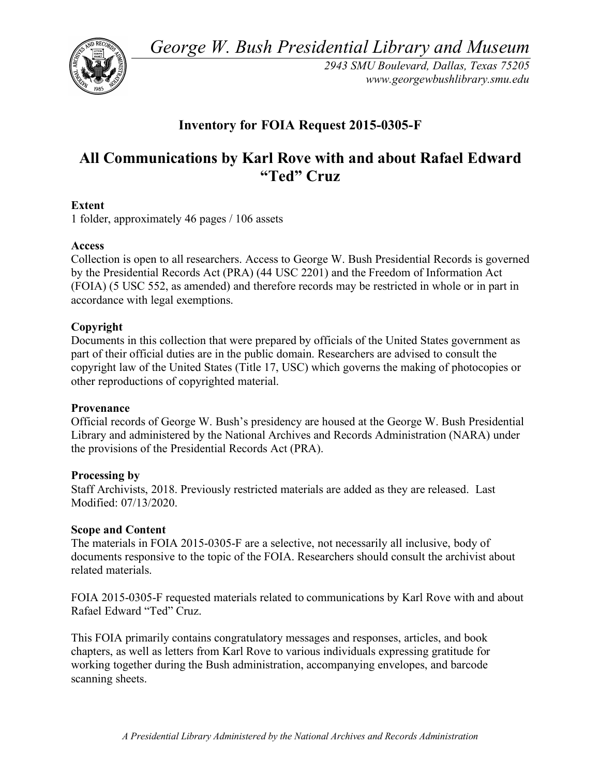*George W. Bush Presidential Library and Museum* 



*2943 SMU Boulevard, Dallas, Texas 75205 <www.georgewbushlibrary.smu.edu>* 

## **Inventory for FOIA Request 2015-0305-F**

# **All Communications by Karl Rove with and about Rafael Edward "Ted" Cruz**

## **Extent**

1 folder, approximately 46 pages / 106 assets

## **Access**

 Collection is open to all researchers. Access to George W. Bush Presidential Records is governed by the Presidential Records Act (PRA) (44 USC 2201) and the Freedom of Information Act (FOIA) (5 USC 552, as amended) and therefore records may be restricted in whole or in part in accordance with legal exemptions.

## **Copyright**

 Documents in this collection that were prepared by officials of the United States government as part of their official duties are in the public domain. Researchers are advised to consult the copyright law of the United States (Title 17, USC) which governs the making of photocopies or other reproductions of copyrighted material.

## **Provenance**

 Official records of George W. Bush's presidency are housed at the George W. Bush Presidential Library and administered by the National Archives and Records Administration (NARA) under the provisions of the Presidential Records Act (PRA).

## **Processing by**

 Staff Archivists, 2018. Previously restricted materials are added as they are released. Last Modified: 07/13/2020.

## **Scope and Content**

 The materials in FOIA 2015-0305-F are a selective, not necessarily all inclusive, body of documents responsive to the topic of the FOIA. Researchers should consult the archivist about related materials.

 FOIA 2015-0305-F requested materials related to communications by Karl Rove with and about Rafael Edward "Ted" Cruz.

 This FOIA primarily contains congratulatory messages and responses, articles, and book chapters, as well as letters from Karl Rove to various individuals expressing gratitude for working together during the Bush administration, accompanying envelopes, and barcode scanning sheets.